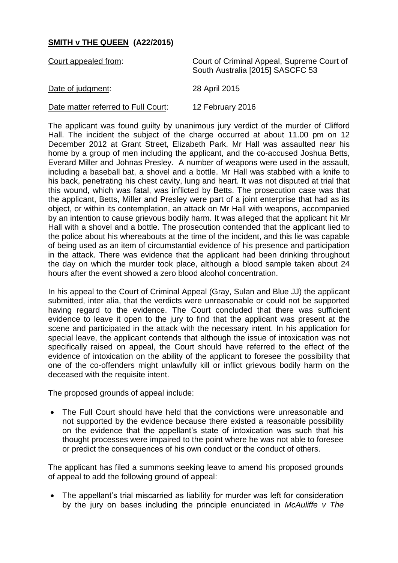## **SMITH v THE QUEEN (A22/2015)**

| Court appealed from:                | Court of Criminal Appeal, Supreme Court of<br>South Australia [2015] SASCFC 53 |
|-------------------------------------|--------------------------------------------------------------------------------|
| Date of judgment:                   | 28 April 2015                                                                  |
| Date matter referred to Full Court: | 12 February 2016                                                               |

The applicant was found guilty by unanimous jury verdict of the murder of Clifford Hall. The incident the subject of the charge occurred at about 11.00 pm on 12 December 2012 at Grant Street, Elizabeth Park. Mr Hall was assaulted near his home by a group of men including the applicant, and the co-accused Joshua Betts, Everard Miller and Johnas Presley. A number of weapons were used in the assault, including a baseball bat, a shovel and a bottle. Mr Hall was stabbed with a knife to his back, penetrating his chest cavity, lung and heart. It was not disputed at trial that this wound, which was fatal, was inflicted by Betts. The prosecution case was that the applicant, Betts, Miller and Presley were part of a joint enterprise that had as its object, or within its contemplation, an attack on Mr Hall with weapons, accompanied by an intention to cause grievous bodily harm. It was alleged that the applicant hit Mr Hall with a shovel and a bottle. The prosecution contended that the applicant lied to the police about his whereabouts at the time of the incident, and this lie was capable of being used as an item of circumstantial evidence of his presence and participation in the attack. There was evidence that the applicant had been drinking throughout the day on which the murder took place, although a blood sample taken about 24 hours after the event showed a zero blood alcohol concentration.

In his appeal to the Court of Criminal Appeal (Gray, Sulan and Blue JJ) the applicant submitted, inter alia, that the verdicts were unreasonable or could not be supported having regard to the evidence. The Court concluded that there was sufficient evidence to leave it open to the jury to find that the applicant was present at the scene and participated in the attack with the necessary intent. In his application for special leave, the applicant contends that although the issue of intoxication was not specifically raised on appeal, the Court should have referred to the effect of the evidence of intoxication on the ability of the applicant to foresee the possibility that one of the co-offenders might unlawfully kill or inflict grievous bodily harm on the deceased with the requisite intent.

The proposed grounds of appeal include:

• The Full Court should have held that the convictions were unreasonable and not supported by the evidence because there existed a reasonable possibility on the evidence that the appellant's state of intoxication was such that his thought processes were impaired to the point where he was not able to foresee or predict the consequences of his own conduct or the conduct of others.

The applicant has filed a summons seeking leave to amend his proposed grounds of appeal to add the following ground of appeal:

 The appellant's trial miscarried as liability for murder was left for consideration by the jury on bases including the principle enunciated in *McAuliffe v The*